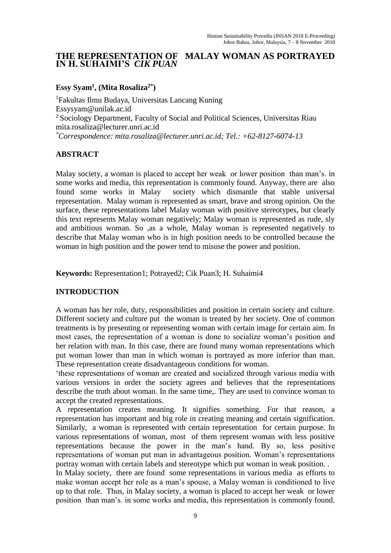# **THE REPRESENTATION OF MALAY WOMAN AS PORTRAYED IN H. SUHAIMI'S** *CIK PUAN*

# **Essy Syam<sup>1</sup> , (Mita Rosaliza2\* )**

<sup>1</sup>Fakultas Ilmu Budaya, Universitas Lancang Kuning [Essysyam@unilak.ac.id](mailto:Essysyam@unilak.ac.id) <sup>2</sup> Sociology Department, Faculty of Social and Political Sciences, Universitas Riau [mita.rosaliza@lecturer.unri.ac.id](mailto:mita.rosaliza@lecturer.unri.ac.id) *\*Correspondence: mita.rosaliza@lecturer.unri.ac.id; Tel.: +62-8127-6074-13*

# **ABSTRACT**

Malay society, a woman is placed to accept her weak or lower position than man's. in some works and media, this representation is commonly found. Anyway, there are also found some works in Malay society which dismantle that stable universal representation. Malay woman is represented as smart, brave and strong opinion. On the surface, these representations label Malay woman with positive stereotypes, but clearly this text represents Malay woman negatively; Malay woman is represented as rude, sly and ambitious woman. So ,as a whole, Malay woman is represented negatively to describe that Malay woman who is in high position needs to be controlled because the woman in high position and the power tend to misuse the power and position.

**Keywords:** Representation1; Potrayed2; Cik Puan3; H. Suhaimi4

# **INTRODUCTION**

A woman has her role, duty, responsibilities and position in certain society and culture. Different society and culture put the woman is treated by her society. One of common treatments is by presenting or representing woman with certain image for certain aim. In most cases, the representation of a woman is done to socialize woman's position and her relation with man. In this case, there are found many woman representations which put woman lower than man in which woman is portrayed as more inferior than man. These representation create disadvantageous conditions for woman.

'these representations of woman are created and socialized through various media with various versions in order the society agrees and believes that the representations describe the truth about woman. In the same time,. They are used to convince woman to accept the created representations.

A representation creates meaning. It signifies something. For that reason, a representation has important and big role in creating meaning and certain signification. Similarly, a woman is represented with certain representation for certain purpose. In various representations of woman, most of them represent woman with less positive representations because the power in the man's hand. By so, less positive representations of woman put man in advantageous position. Woman's representations portray woman with certain labels and stereotype which put woman in weak position. .

In Malay society, there are found some representations in various media as efforts to make woman accept her role as a man's spouse, a Malay woman is conditioned to live up to that role. Thus, in Malay society, a woman is placed to accept her weak or lower position than man's. in some works and media, this representation is commonly found.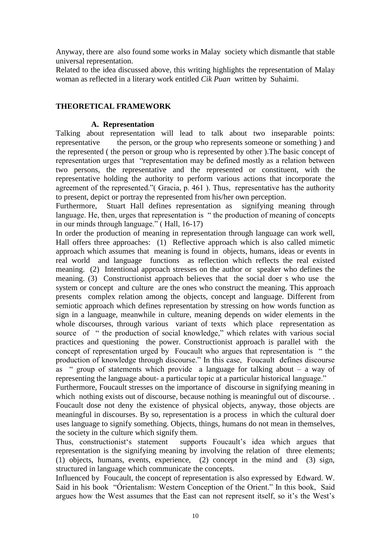Anyway, there are also found some works in Malay society which dismantle that stable universal representation.

Related to the idea discussed above, this writing highlights the representation of Malay woman as reflected in a literary work entitled *Cik Puan* written by Suhaimi.

#### **THEORETICAL FRAMEWORK**

#### **A. Representation**

Talking about representation will lead to talk about two inseparable points: representative the person, or the group who represents someone or something ) and the represented ( the person or group who is represented by other ).The basic concept of representation urges that "representation may be defined mostly as a relation between two persons, the representative and the represented or constituent, with the representative holding the authority to perform various actions that incorporate the agreement of the represented."( Gracia, p. 461 ). Thus, representative has the authority to present, depict or portray the represented from his/her own perception.

Furthermore, Stuart Hall defines representation as signifying meaning through language. He, then, urges that representation is " the production of meaning of concepts in our minds through language." ( Hall, 16-17)

In order the production of meaning in representation through language can work well, Hall offers three approaches: (1) Reflective approach which is also called mimetic approach which assumes that meaning is found in objects, humans, ideas or events in real world and language functions as reflection which reflects the real existed meaning. (2) Intentional approach stresses on the author or speaker who defines the meaning. (3) Constructionist approach believes that the social doer s who use the system or concept and culture are the ones who construct the meaning. This approach presents complex relation among the objects, concept and language. Different from semiotic approach which defines representation by stressing on how words function as sign in a language, meanwhile in culture, meaning depends on wider elements in the whole discourses, through various variant of texts which place representation as source of " the production of social knowledge," which relates with various social practices and questioning the power. Constructionist approach is parallel with the concept of representation urged by Foucault who argues that representation is " the production of knowledge through discourse." In this case, Foucault defines discourse as " group of statements which provide a language for talking about  $-$  a way of representing the language about- a particular topic at a particular historical language."

Furthermore, Foucault stresses on the importance of discourse in signifying meaning in which nothing exists out of discourse, because nothing is meaningful out of discourse... Foucault dose not deny the existence of physical objects, anyway, those objects are meaningful in discourses. By so, representation is a process in which the cultural doer uses language to signify something. Objects, things, humans do not mean in themselves, the society in the culture which signify them.

Thus, constructionist's statement supports Foucault's idea which argues that representation is the signifying meaning by involving the relation of three elements; (1) objects, humans, events, experience, (2) concept in the mind and (3) sign, structured in language which communicate the concepts.

Influenced by Foucault, the concept of representation is also expressed by Edward. W. Said in his book "Órientalism: Western Conception of the Orient." In this book, Said argues how the West assumes that the East can not represent itself, so it's the West's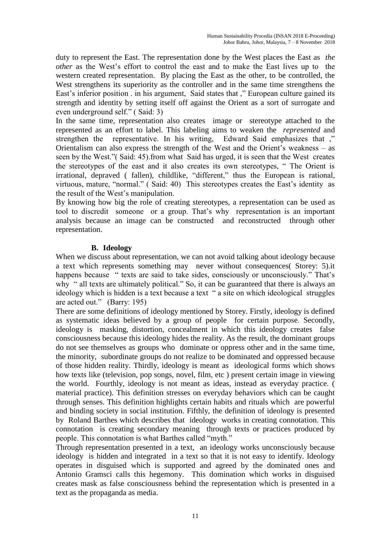duty to represent the East. The representation done by the West places the East as *the other* as the West's effort to control the east and to make the East lives up to the western created representation. By placing the East as the other, to be controlled, the West strengthens its superiority as the controller and in the same time strengthens the East's inferior position . in his argument, Said states that ," European culture gained its strength and identity by setting itself off against the Orient as a sort of surrogate and even underground self." ( Said: 3)

In the same time, representation also creates image or stereotype attached to the represented as an effort to label. This labeling aims to weaken the *represented* and strengthen the representative. In his writing, Edward Said emphasizes that ," Orientalism can also express the strength of the West and the Orient's weakness – as seen by the West."( Said: 45).from what Said has urged, it is seen that the West creates the stereotypes of the east and it also creates its own stereotypes, " The Orient is irrational, depraved ( fallen), childlike, "different," thus the European is rational, virtuous, mature, "normal." ( Said: 40) This stereotypes creates the East's identity as the result of the West's manipulation.

By knowing how big the role of creating stereotypes, a representation can be used as tool to discredit someone or a group. That's why representation is an important analysis because an image can be constructed and reconstructed through other representation.

## **B. Ideology**

When we discuss about representation, we can not avoid talking about ideology because a text which represents something may never without consequences( Storey: 5).it happens because " texts are said to take sides, consciously or unconsciously." That's why " all texts are ultimately political." So, it can be guaranteed that there is always an ideology which is hidden is a text because a text " a site on which ideological struggles are acted out." (Barry: 195)

There are some definitions of ideology mentioned by Storey. Firstly, ideology is defined as systematic ideas believed by a group of people for certain purpose. Secondly, ideology is masking, distortion, concealment in which this ideology creates false consciousness because this ideology hides the reality. As the result, the dominant groups do not see themselves as groups who dominate or oppress other and in the same time, the minority, subordinate groups do not realize to be dominated and oppressed because of those hidden reality. Thirdly, ideology is meant as ideological forms which shows how texts like (television, pop songs, novel, film, etc ) present certain image in viewing the world. Fourthly, ideology is not meant as ideas, instead as everyday practice. ( material practice). This definition stresses on everyday behaviors which can be caught through senses. This definition highlights certain habits and rituals which are powerful and binding society in social institution. Fifthly, the definition of ideology is presented by Roland Barthes which describes that ideology works in creating connotation. This connotation is creating secondary meaning through texts or practices produced by people. This connotation is what Barthes called "myth."

Through representation presented in a text, an ideology works unconsciously because ideology is hidden and integrated in a text so that it is not easy to identify. Ideology operates in disguised which is supported and agreed by the dominated ones and Antonio Gramsci calls this hegemony. This domination which works in disguised creates mask as false consciousness behind the representation which is presented in a text as the propaganda as media.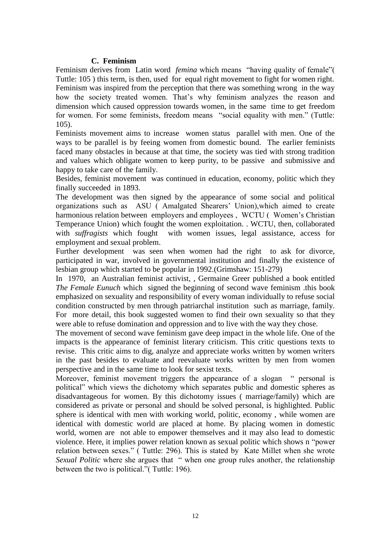#### **C. Feminism**

Feminism derives from Latin word *femina* which means "having quality of female"( Tuttle: 105 ) this term, is then, used for equal right movement to fight for women right. Feminism was inspired from the perception that there was something wrong in the way how the society treated women. That's why feminism analyzes the reason and dimension which caused oppression towards women, in the same time to get freedom for women. For some feminists, freedom means "social equality with men." (Tuttle: 105).

Feminists movement aims to increase women status parallel with men. One of the ways to be parallel is by feeing women from domestic bound. The earlier feminists faced many obstacles in because at that time, the society was tied with strong tradition and values which obligate women to keep purity, to be passive and submissive and happy to take care of the family.

Besides, feminist movement was continued in education, economy, politic which they finally succeeded in 1893.

The development was then signed by the appearance of some social and political organizations such as ASU ( Amalgated Shearers' Union),which aimed to create harmonious relation between employers and employees , WCTU ( Women's Christian Temperance Union) which fought the women exploitation. . WCTU, then, collaborated with *suffragists* which foughtwith women issues, legal assistance, access for employment and sexual problem.

Further development was seen when women had the right to ask for divorce, participated in war, involved in governmental institution and finally the existence of lesbian group which started to be popular in 1992.(Grimshaw: 151-279)

In 1970, an Australian feminist activist, , Germaine Greer published a book entitled *The Female Eunuch* which signed the beginning of second wave feminism .this book emphasized on sexuality and responsibility of every woman individually to refuse social condition constructed by men through patriarchal institution such as marriage, family. For more detail, this book suggested women to find their own sexuality so that they were able to refuse domination and oppression and to live with the way they chose.

The movement of second wave feminism gave deep impact in the whole life. One of the impacts is the appearance of feminist literary criticism. This critic questions texts to revise. This critic aims to dig, analyze and appreciate works written by women writers in the past besides to evaluate and reevaluate works written by men from women perspective and in the same time to look for sexist texts.

Moreover, feminist movement triggers the appearance of a slogan " personal is political" which views the dichotomy which separates public and domestic spheres as disadvantageous for women. By this dichotomy issues ( marriage/family) which are considered as private or personal and should be solved personal, is highlighted. Public sphere is identical with men with working world, politic, economy , while women are identical with domestic world are placed at home. By placing women in domestic world, women are not able to empower themselves and it may also lead to domestic violence. Here, it implies power relation known as sexual politic which shows n "power relation between sexes." ( Tuttle: 296). This is stated by Kate Millet when she wrote *Sexual Politic* where she argues that " when one group rules another, the relationship between the two is political."( Tuttle: 196).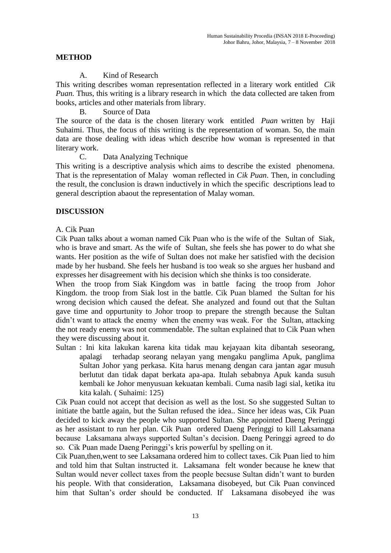## **METHOD**

#### A. Kind of Research

This writing describes woman representation reflected in a literary work entitled *Cik Puan.* Thus, this writing is a library research in which the data collected are taken from books, articles and other materials from library.

B. Source of Data

The source of the data is the chosen literary work entitled *Puan* written by Haji Suhaimi. Thus, the focus of this writing is the representation of woman. So, the main data are those dealing with ideas which describe how woman is represented in that literary work.

C. Data Analyzing Technique

This writing is a descriptive analysis which aims to describe the existed phenomena. That is the representation of Malay woman reflected in *Cik Puan*. Then, in concluding the result, the conclusion is drawn inductively in which the specific descriptions lead to general description abaout the representation of Malay woman.

#### **DISCUSSION**

#### A. Cik Puan

Cik Puan talks about a woman named Cik Puan who is the wife of the Sultan of Siak, who is brave and smart. As the wife of Sultan, she feels she has power to do what she wants. Her position as the wife of Sultan does not make her satisfied with the decision made by her husband. She feels her husband is too weak so she argues her husband and expresses her disagreement with his decision which she thinks is too considerate.

When the troop from Siak Kingdom was in battle facing the troop from Johor Kingdom. the troop from Siak lost in the battle. Cik Puan blamed the Sultan for his wrong decision which caused the defeat. She analyzed and found out that the Sultan gave time and oppurtunity to Johor troop to prepare the strength because the Sultan didn't want to attack the enemy when the enemy was weak. For the Sultan, attacking the not ready enemy was not commendable. The sultan explained that to Cik Puan when they were discussing about it.

Sultan : Ini kita lakukan karena kita tidak mau kejayaan kita dibantah seseorang, apalagi terhadap seorang nelayan yang mengaku panglima Apuk, panglima Sultan Johor yang perkasa. Kita harus menang dengan cara jantan agar musuh berlutut dan tidak dapat berkata apa-apa. Itulah sebabnya Apuk kanda susuh kembali ke Johor menyusuan kekuatan kembali. Cuma nasib lagi sial, ketika itu kita kalah. ( Suhaimi: 125)

Cik Puan could not accept that decision as well as the lost. So she suggested Sultan to initiate the battle again, but the Sultan refused the idea.. Since her ideas was, Cik Puan decided to kick away the people who supported Sultan. She appointed Daeng Peringgi as her assistant to run her plan. Cik Puan ordered Daeng Peringgi to kill Laksamana because Laksamana always supported Sultan's decision. Daeng Peringgi agreed to do so. Cik Puan made Daeng Peringgi's kris powerful by spelling on it.

Cik Puan,then,went to see Laksamana ordered him to collect taxes. Cik Puan lied to him and told him that Sultan instructed it. Laksamana felt wonder because he knew that Sultan would never collect taxes from the people becsuse Sultan didn't want to burden his people. With that consideration, Laksamana disobeyed, but Cik Puan convinced him that Sultan's order should be conducted. If Laksamana disobeyed ihe was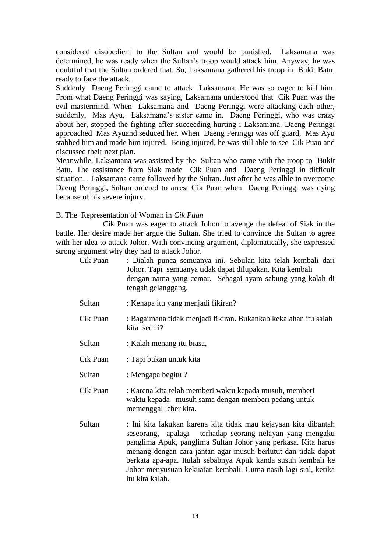considered disobedient to the Sultan and would be punished. Laksamana was determined, he was ready when the Sultan's troop would attack him. Anyway, he was doubtful that the Sultan ordered that. So, Laksamana gathered his troop in Bukit Batu, ready to face the attack.

Suddenly Daeng Peringgi came to attack Laksamana. He was so eager to kill him. From what Daeng Peringgi was saying, Laksamana understood that Cik Puan was the evil mastermind. When Laksamana and Daeng Peringgi were attacking each other, suddenly, Mas Ayu, Laksamana's sister came in. Daeng Peringgi, who was crazy about her, stopped the fighting after succeeding hurting i Laksamana. Daeng Peringgi approached Mas Ayuand seduced her. When Daeng Peringgi was off guard, Mas Ayu stabbed him and made him injured. Being injured, he was still able to see Cik Puan and discussed their next plan.

Meanwhile, Laksamana was assisted by the Sultan who came with the troop to Bukit Batu. The assistance from Siak made Cik Puan and Daeng Peringgi in difficult situation. . Laksamana came followed by the Sultan. Just after he was alble to overcome Daeng Peringgi, Sultan ordered to arrest Cik Puan when Daeng Peringgi was dying because of his severe injury.

B. The Representation of Woman in *Cik Puan*

Cik Puan was eager to attack Johon to avenge the defeat of Siak in the battle. Her desire made her argue the Sultan. She tried to convince the Sultan to agree with her idea to attack Johor. With convincing argument, diplomatically, she expressed strong argument why they had to attack Johor.

| Cik Puan | : Dialah punca semuanya ini. Sebulan kita telah kembali dari<br>Johor. Tapi semuanya tidak dapat dilupakan. Kita kembali |
|----------|--------------------------------------------------------------------------------------------------------------------------|
|          | dengan nama yang cemar. Sebagai ayam sabung yang kalah di<br>tengah gelanggang.                                          |

- Sultan : Kenapa itu yang menjadi fikiran?
- Cik Puan : Bagaimana tidak menjadi fikiran. Bukankah kekalahan itu salah kita sediri?
- Sultan : Kalah menang itu biasa,
- Cik Puan : Tapi bukan untuk kita
- Sultan : Mengapa begitu ?
- Cik Puan : Karena kita telah memberi waktu kepada musuh, memberi waktu kepada musuh sama dengan memberi pedang untuk memenggal leher kita.
- Sultan : Ini kita lakukan karena kita tidak mau kejayaan kita dibantah seseorang, apalagi terhadap seorang nelayan yang mengaku panglima Apuk, panglima Sultan Johor yang perkasa. Kita harus menang dengan cara jantan agar musuh berlutut dan tidak dapat berkata apa-apa. Itulah sebabnya Apuk kanda susuh kembali ke Johor menyusuan kekuatan kembali. Cuma nasib lagi sial, ketika itu kita kalah.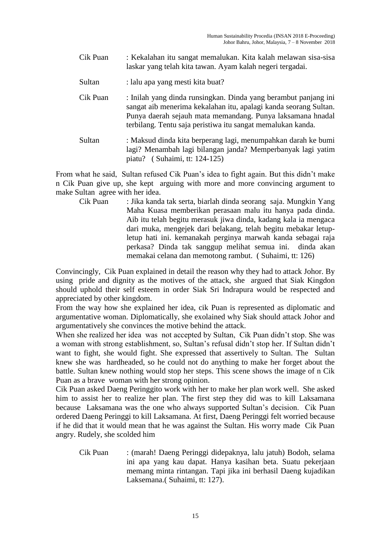- Cik Puan : Kekalahan itu sangat memalukan. Kita kalah melawan sisa-sisa laskar yang telah kita tawan. Ayam kalah negeri tergadai.
- Sultan : lalu apa yang mesti kita buat?
- Cik Puan : Inilah yang dinda runsingkan. Dinda yang berambut panjang ini sangat aib menerima kekalahan itu, apalagi kanda seorang Sultan. Punya daerah sejauh mata memandang. Punya laksamana hnadal terbilang. Tentu saja peristiwa itu sangat memalukan kanda.
- Sultan : Maksud dinda kita berperang lagi, menumpahkan darah ke bumi lagi? Menambah lagi bilangan janda? Memperbanyak lagi yatim piatu? ( Suhaimi, tt: 124-125)

From what he said, Sultan refused Cik Puan's idea to fight again. But this didn't make n Cik Puan give up, she kept arguing with more and more convincing argument to make Sultan agree with her idea.

Cik Puan : Jika kanda tak serta, biarlah dinda seorang saja. Mungkin Yang Maha Kuasa memberikan perasaan malu itu hanya pada dinda. Aib itu telah begitu merasuk jiwa dinda, kadang kala ia mengaca dari muka, mengejek dari belakang, telah begitu mebakar letupletup hati ini. kemanakah perginya marwah kanda sebagai raja perkasa? Dinda tak sanggup melihat semua ini. dinda akan memakai celana dan memotong rambut. ( Suhaimi, tt: 126)

Convincingly, Cik Puan explained in detail the reason why they had to attack Johor. By using pride and dignity as the motives of the attack, she argued that Siak Kingdon should uphold their self esteem in order Siak Sri Indrapura would be respected and appreciated by other kingdom.

From the way how she explained her idea, cik Puan is represented as diplomatic and argumentative woman. Diplomatically, she exolained why Siak should attack Johor and argumentatively she convinces the motive behind the attack.

When she realized her idea was not accepted by Sultan, Cik Puan didn't stop. She was a woman with strong establishment, so, Sultan's refusal didn't stop her. If Sultan didn't want to fight, she would fight. She expressed that assertively to Sultan. The Sultan knew she was hardheaded, so he could not do anything to make her forget about the battle. Sultan knew nothing would stop her steps. This scene shows the image of n Cik Puan as a brave woman with her strong opinion.

Cik Puan asked Daeng Peringgito work with her to make her plan work well. She asked him to assist her to realize her plan. The first step they did was to kill Laksamana because Laksamana was the one who always supported Sultan's decision. Cik Puan ordered Daeng Peringgi to kill Laksamana. At first, Daeng Peringgi felt worried because if he did that it would mean that he was against the Sultan. His worry made Cik Puan angry. Rudely, she scolded him

Cik Puan : (marah! Daeng Peringgi didepaknya, lalu jatuh) Bodoh, selama ini apa yang kau dapat. Hanya kasihan beta. Suatu pekerjaan memang minta rintangan. Tapi jika ini berhasil Daeng kujadikan Laksemana.( Suhaimi, tt: 127).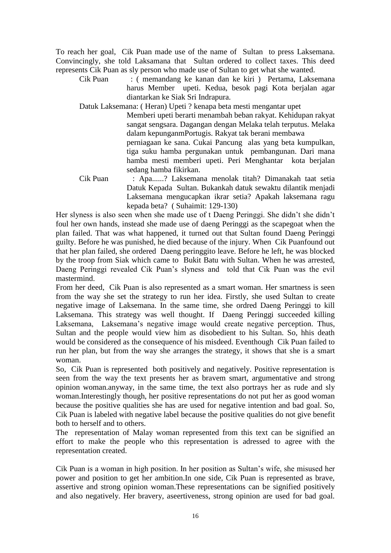To reach her goal, Cik Puan made use of the name of Sultan to press Laksemana. Convincingly, she told Laksamana that Sultan ordered to collect taxes. This deed represents Cik Puan as sly person who made use of Sultan to get what she wanted.

Cik Puan : ( memandang ke kanan dan ke kiri ) Pertama, Laksemana harus Member upeti. Kedua, besok pagi Kota berjalan agar diantarkan ke Siak Sri Indrapura.

Datuk Laksemana: ( Heran) Upeti ? kenapa beta mesti mengantar upet

Memberi upeti berarti menambah beban rakyat. Kehidupan rakyat sangat sengsara. Dagangan dengan Melaka telah terputus. Melaka dalam kepunganmPortugis. Rakyat tak berani membawa

perniagaan ke sana. Cukai Pancung alas yang beta kumpulkan, tiga suku hamba pergunakan untuk pembangunan. Dari mana hamba mesti memberi upeti. Peri Menghantar kota berjalan sedang hamba fikirkan.

Cik Puan : Apa......? Laksemana menolak titah? Dimanakah taat setia Datuk Kepada Sultan. Bukankah datuk sewaktu dilantik menjadi Laksemana mengucapkan ikrar setia? Apakah laksemana ragu kepada beta? ( Suhaimit: 129-130)

Her slyness is also seen when she made use of t Daeng Peringgi. She didn't she didn't foul her own hands, instead she made use of daeng Peringgi as the scapegoat when the plan failed. That was what happened, it turned out that Sultan found Daeng Peringgi guilty. Before he was punished, he died because of the injury. When Cik Puanfound out that her plan failed, she ordered Daeng peringgito leave. Before he left, he was blocked by the troop from Siak which came to Bukit Batu with Sultan. When he was arrested, Daeng Peringgi revealed Cik Puan's slyness and told that Cik Puan was the evil mastermind.

From her deed, Cik Puan is also represented as a smart woman. Her smartness is seen from the way she set the strategy to run her idea. Firstly, she used Sultan to create negative image of Laksemana. In the same time, she ordred Daeng Peringgi to kill Laksemana. This strategy was well thought. If Daeng Peringgi succeeded killing Laksemana, Laksemana's negative image would create negative perception. Thus, Sultan and the people would view him as disobedient to his Sultan. So, hhis death would be considered as the consequence of his misdeed. Eventhough Cik Puan failed to run her plan, but from the way she arranges the strategy, it shows that she is a smart woman.

So, Cik Puan is represented both positively and negatively. Positive representation is seen from the way the text presents her as bravem smart, argumentative and strong opinion woman.anyway, in the same time, the text also portrays her as rude and sly woman.Interestingly though, her positive representations do not put her as good woman because the positive qualities she has are used for negative intention and bad goal. So, Cik Puan is labeled with negative label because the positive qualities do not give benefit both to herself and to others.

The representation of Malay woman represented from this text can be signified an effort to make the people who this representation is adressed to agree with the representation created.

Cik Puan is a woman in high position. In her position as Sultan's wife, she misused her power and position to get her ambition.In one side, Cik Puan is represented as brave, assertive and strong opinion woman.These representations can be signified positively and also negatively. Her bravery, aseertiveness, strong opinion are used for bad goal.